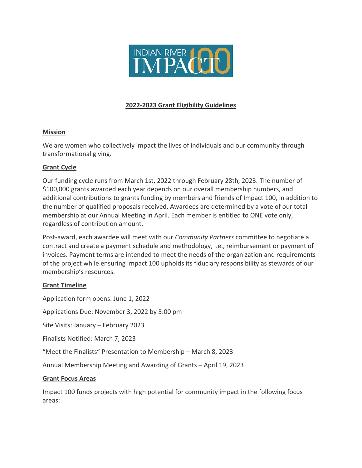

## **2022-2023 Grant Eligibility Guidelines**

### **Mission**

We are women who collectively impact the lives of individuals and our community through transformational giving.

## **Grant Cycle**

Our funding cycle runs from March 1st, 2022 through February 28th, 2023. The number of \$100,000 grants awarded each year depends on our overall membership numbers, and additional contributions to grants funding by members and friends of Impact 100, in addition to the number of qualified proposals received. Awardees are determined by a vote of our total membership at our Annual Meeting in April. Each member is entitled to ONE vote only, regardless of contribution amount.

Post-award, each awardee will meet with our *Community Partners* committee to negotiate a contract and create a payment schedule and methodology, i.e., reimbursement or payment of invoices. Payment terms are intended to meet the needs of the organization and requirements of the project while ensuring Impact 100 upholds its fiduciary responsibility as stewards of our membership's resources.

## **Grant Timeline**

Application form opens: June 1, 2022

Applications Due: November 3, 2022 by 5:00 pm

Site Visits: January – February 2023

Finalists Notified: March 7, 2023

"Meet the Finalists" Presentation to Membership – March 8, 2023

Annual Membership Meeting and Awarding of Grants – April 19, 2023

#### **Grant Focus Areas**

Impact 100 funds projects with high potential for community impact in the following focus areas: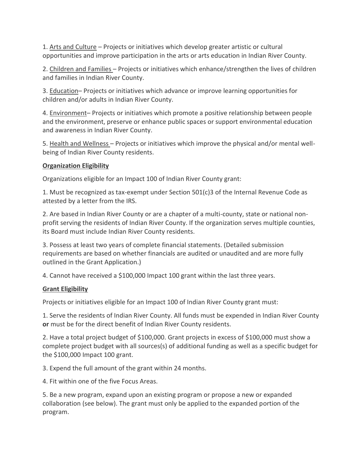1. Arts and Culture – Projects or initiatives which develop greater artistic or cultural opportunities and improve participation in the arts or arts education in Indian River County.

2. Children and Families – Projects or initiatives which enhance/strengthen the lives of children and families in Indian River County.

3. Education– Projects or initiatives which advance or improve learning opportunities for children and/or adults in Indian River County.

4. Environment– Projects or initiatives which promote a positive relationship between people and the environment, preserve or enhance public spaces or support environmental education and awareness in Indian River County.

5. Health and Wellness – Projects or initiatives which improve the physical and/or mental wellbeing of Indian River County residents.

## **Organization Eligibility**

Organizations eligible for an Impact 100 of Indian River County grant:

1. Must be recognized as tax-exempt under Section 501(c)3 of the Internal Revenue Code as attested by a letter from the IRS.

2. Are based in Indian River County or are a chapter of a multi-county, state or national nonprofit serving the residents of Indian River County. If the organization serves multiple counties, its Board must include Indian River County residents.

3. Possess at least two years of complete financial statements. (Detailed submission requirements are based on whether financials are audited or unaudited and are more fully outlined in the Grant Application.)

4. Cannot have received a \$100,000 Impact 100 grant within the last three years.

# **Grant Eligibility**

Projects or initiatives eligible for an Impact 100 of Indian River County grant must:

1. Serve the residents of Indian River County. All funds must be expended in Indian River County **or** must be for the direct benefit of Indian River County residents.

2. Have a total project budget of \$100,000. Grant projects in excess of \$100,000 must show a complete project budget with all sources(s) of additional funding as well as a specific budget for the \$100,000 Impact 100 grant.

3. Expend the full amount of the grant within 24 months.

4. Fit within one of the five Focus Areas.

5. Be a new program, expand upon an existing program or propose a new or expanded collaboration (see below). The grant must only be applied to the expanded portion of the program.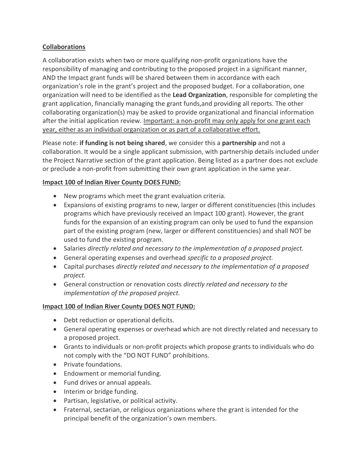## **Collaborations**

A collaboration exists when two or more qualifying non-profit organizations have the responsibility of managing and contributing to the proposed project in a significant manner, AND the Impact grant funds will be shared between them in accordance with each organization's role in the grant's project and the proposed budget. For a collaboration, one organization will need to be identified as the **Lead Organization**, responsible for completing the grant application, financially managing the grant funds,and providing all reports. The other collaborating organization(s) may be asked to provide organizational and financial information after the initial application review. Important: a non-profit may only apply for one grant each year, either as an individual organization or as part of a collaborative effort.

Please note: **if funding is not being shared**, we consider this a **partnership** and not a collaboration. It would be a single applicant submission, with partnership details included under the Project Narrative section of the grant application. Being listed as a partner does not exclude or preclude a non-profit from submitting their own grant application in the same year.

## **Impact 100 of Indian River County DOES FUND:**

- New programs which meet the grant evaluation criteria.
- Expansions of existing programs to new, larger or different constituencies (this includes programs which have previously received an Impact 100 grant). However, the grant funds for the expansion of an existing program can only be used to fund the expansion part of the existing program (new, larger or different constituencies) and shall NOT be used to fund the existing program.
- Salaries *directly related and necessary to the implementation of a proposed project.*
- General operating expenses and overhead *specific to a proposed project.*
- Capital purchases *directly related and necessary to the implementation of a proposed project.*
- General construction or renovation costs *directly related and necessary to the implementation of the proposed project.*

## **Impact 100 of Indian River County DOES NOT FUND:**

- Debt reduction or operational deficits.
- General operating expenses or overhead which are not directly related and necessary to a proposed project.
- Grants to individuals or non-profit projects which propose grants to individuals who do not comply with the "DO NOT FUND" prohibitions.
- Private foundations.
- Endowment or memorial funding.
- Fund drives or annual appeals.
- Interim or bridge funding.
- Partisan, legislative, or political activity.
- Fraternal, sectarian, or religious organizations where the grant is intended for the principal benefit of the organization's own members.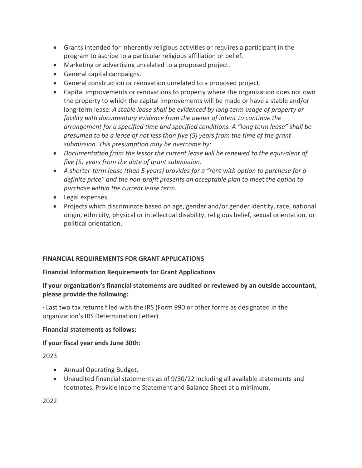- Grants intended for inherently religious activities or requires a participant in the program to ascribe to a particular religious affiliation or belief.
- Marketing or advertising unrelated to a proposed project.
- General capital campaigns.
- General construction or renovation unrelated to a proposed project.
- Capital improvements or renovations to property where the organization does not own the property to which the capital improvements will be made or have a stable and/or long-term lease. *A stable lease shall be evidenced by long term usage of property or facility with documentary evidence from the owner of intent to continue the arrangement for a specified time and specified conditions. A "long term lease" shall be presumed to be a lease of not less than five (5) years from the time of the grant submission. This presumption may be overcome by:*
- *Documentation from the lessor the current lease will be renewed to the equivalent of five (5) years from the date of grant submission.*
- *A shorter-term lease (than 5 years) provides for a "rent with option to purchase for a definite price" and the non-profit presents an acceptable plan to meet the option to purchase within the current lease term.*
- Legal expenses.
- Projects which discriminate based on age, gender and/or gender identity, race, national origin, ethnicity, physical or intellectual disability, religious belief, sexual orientation, or political orientation.

## **FINANCIAL REQUIREMENTS FOR GRANT APPLICATIONS**

#### **Financial Information Requirements for Grant Applications**

## **If your organization's financial statements are audited or reviewed by an outside accountant, please provide the following:**

· Last two tax returns filed with the IRS (Form 990 or other forms as designated in the organization's IRS Determination Letter)

#### **Financial statements as follows:**

## **If your fiscal year ends June 30th:**

2023

- Annual Operating Budget.
- Unaudited financial statements as of 9/30/22 including all available statements and footnotes. Provide Income Statement and Balance Sheet at a minimum.

2022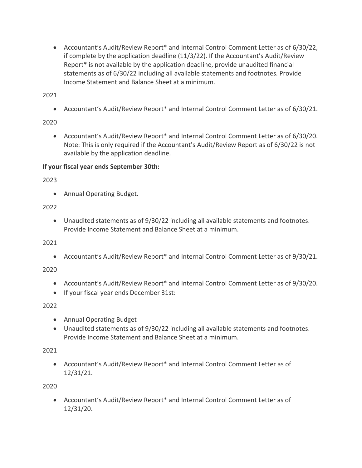• Accountant's Audit/Review Report\* and Internal Control Comment Letter as of 6/30/22, if complete by the application deadline (11/3/22). If the Accountant's Audit/Review Report\* is not available by the application deadline, provide unaudited financial statements as of 6/30/22 including all available statements and footnotes. Provide Income Statement and Balance Sheet at a minimum.

2021

• Accountant's Audit/Review Report\* and Internal Control Comment Letter as of 6/30/21.

# 2020

• Accountant's Audit/Review Report\* and Internal Control Comment Letter as of 6/30/20. Note: This is only required if the Accountant's Audit/Review Report as of 6/30/22 is not available by the application deadline.

# **If your fiscal year ends September 30th:**

2023

• Annual Operating Budget.

# 2022

• Unaudited statements as of 9/30/22 including all available statements and footnotes. Provide Income Statement and Balance Sheet at a minimum.

2021

• Accountant's Audit/Review Report\* and Internal Control Comment Letter as of 9/30/21.

2020

- Accountant's Audit/Review Report\* and Internal Control Comment Letter as of 9/30/20.
- If your fiscal year ends December 31st:

## 2022

- Annual Operating Budget
- Unaudited statements as of 9/30/22 including all available statements and footnotes. Provide Income Statement and Balance Sheet at a minimum.

# 2021

• Accountant's Audit/Review Report\* and Internal Control Comment Letter as of 12/31/21.

2020

• Accountant's Audit/Review Report\* and Internal Control Comment Letter as of 12/31/20.